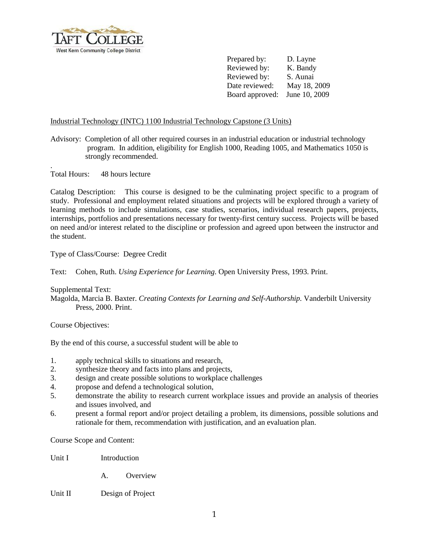

Prepared by: D. Layne Reviewed by: K. Bandy Reviewed by: S. Aunai Date reviewed: May 18, 2009 Board approved: June 10, 2009

## Industrial Technology (INTC) 1100 Industrial Technology Capstone (3 Units)

Advisory: Completion of all other required courses in an industrial education or industrial technology program. In addition, eligibility for English 1000, Reading 1005, and Mathematics 1050 is strongly recommended.

. Total Hours: 48 hours lecture

Catalog Description: This course is designed to be the culminating project specific to a program of study. Professional and employment related situations and projects will be explored through a variety of learning methods to include simulations, case studies, scenarios, individual research papers, projects, internships, portfolios and presentations necessary for twenty-first century success. Projects will be based on need and/or interest related to the discipline or profession and agreed upon between the instructor and the student.

## Type of Class/Course: Degree Credit

Text: Cohen, Ruth. *Using Experience for Learning*. Open University Press, 1993. Print.

Supplemental Text:

Magolda, Marcia B. Baxter. *Creating Contexts for Learning and Self-Authorship.* Vanderbilt University Press, 2000. Print.

Course Objectives:

By the end of this course, a successful student will be able to

- 1. apply technical skills to situations and research,
- 2. synthesize theory and facts into plans and projects,
- 3. design and create possible solutions to workplace challenges
- 4. propose and defend a technological solution,
- 5. demonstrate the ability to research current workplace issues and provide an analysis of theories and issues involved, and
- 6. present a formal report and/or project detailing a problem, its dimensions, possible solutions and rationale for them, recommendation with justification, and an evaluation plan.

Course Scope and Content:

Unit I Introduction

A. Overview

Unit II Design of Project